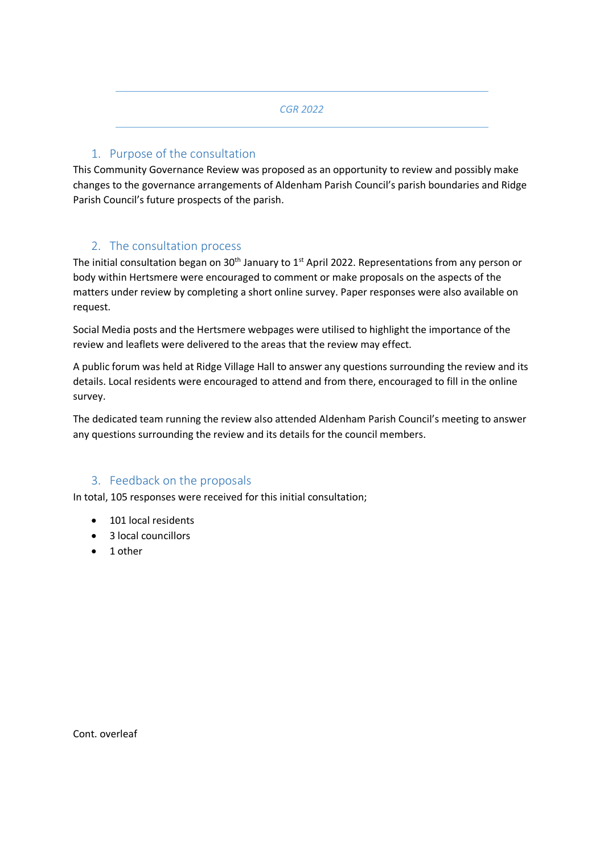#### *CGR 2022*

## 1. Purpose of the consultation

This Community Governance Review was proposed as an opportunity to review and possibly make changes to the governance arrangements of Aldenham Parish Council's parish boundaries and Ridge Parish Council's future prospects of the parish.

# 2. The consultation process

The initial consultation began on  $30<sup>th</sup>$  January to 1<sup>st</sup> April 2022. Representations from any person or body within Hertsmere were encouraged to comment or make proposals on the aspects of the matters under review by completing a short online survey. Paper responses were also available on request.

Social Media posts and the Hertsmere webpages were utilised to highlight the importance of the review and leaflets were delivered to the areas that the review may effect.

A public forum was held at Ridge Village Hall to answer any questions surrounding the review and its details. Local residents were encouraged to attend and from there, encouraged to fill in the online survey.

The dedicated team running the review also attended Aldenham Parish Council's meeting to answer any questions surrounding the review and its details for the council members.

### 3. Feedback on the proposals

In total, 105 responses were received for this initial consultation;

- 101 local residents
- 3 local councillors
- 1 other

Cont. overleaf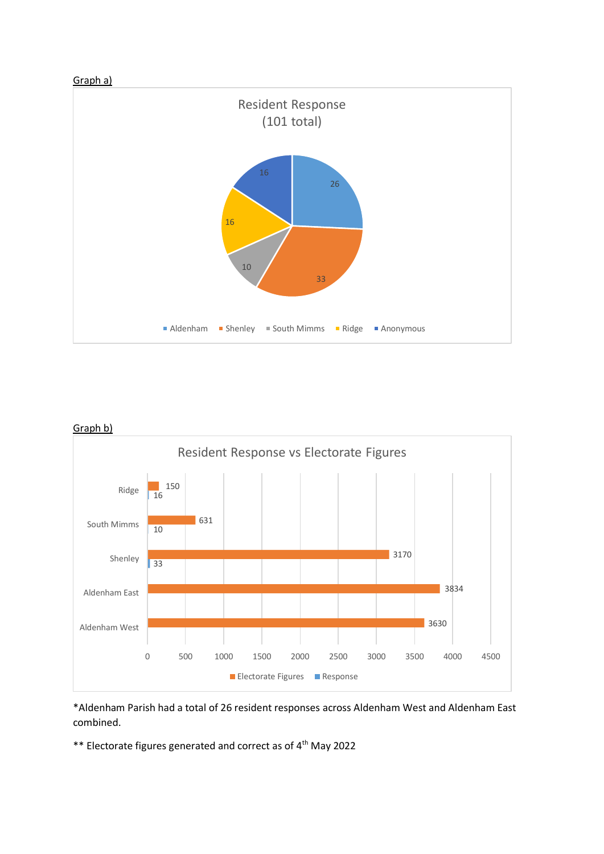





\*Aldenham Parish had a total of 26 resident responses across Aldenham West and Aldenham East combined.

\*\* Electorate figures generated and correct as of 4th May 2022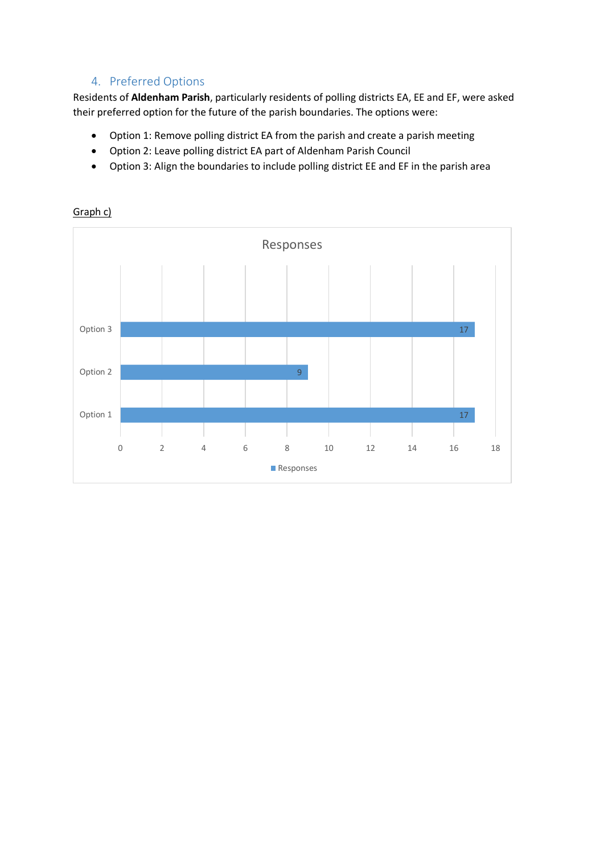# 4. Preferred Options

Residents of **Aldenham Parish**, particularly residents of polling districts EA, EE and EF, were asked their preferred option for the future of the parish boundaries. The options were:

- Option 1: Remove polling district EA from the parish and create a parish meeting
- Option 2: Leave polling district EA part of Aldenham Parish Council
- Option 3: Align the boundaries to include polling district EE and EF in the parish area



Graph c)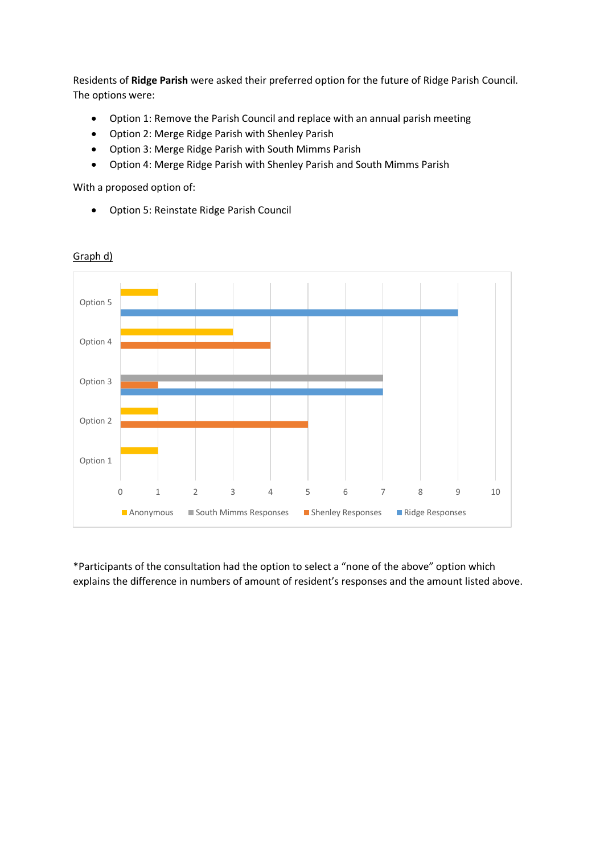Residents of **Ridge Parish** were asked their preferred option for the future of Ridge Parish Council. The options were:

- Option 1: Remove the Parish Council and replace with an annual parish meeting
- Option 2: Merge Ridge Parish with Shenley Parish
- Option 3: Merge Ridge Parish with South Mimms Parish
- Option 4: Merge Ridge Parish with Shenley Parish and South Mimms Parish

With a proposed option of:

Option 5: Reinstate Ridge Parish Council



### Graph d)

\*Participants of the consultation had the option to select a "none of the above" option which explains the difference in numbers of amount of resident's responses and the amount listed above.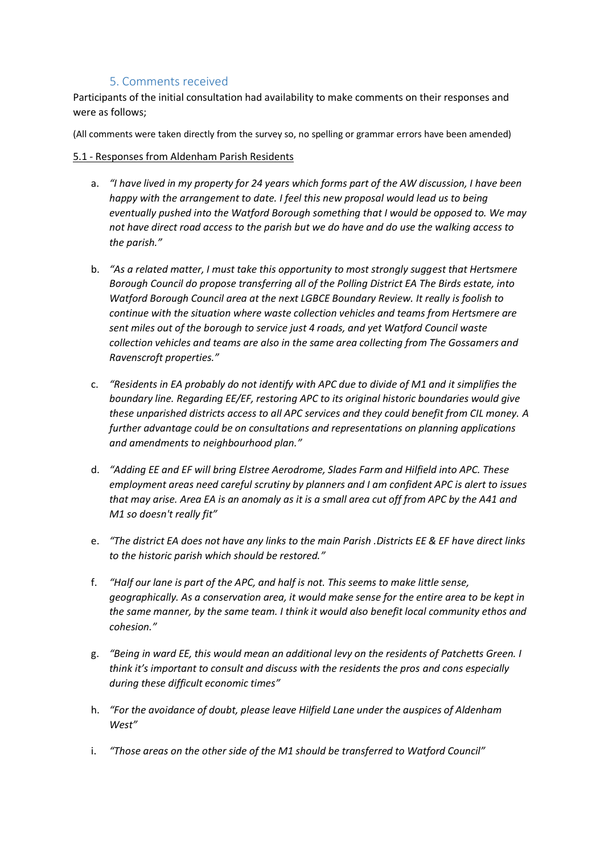# 5. Comments received

Participants of the initial consultation had availability to make comments on their responses and were as follows;

(All comments were taken directly from the survey so, no spelling or grammar errors have been amended)

### 5.1 - Responses from Aldenham Parish Residents

- a. *"I have lived in my property for 24 years which forms part of the AW discussion, I have been happy with the arrangement to date. I feel this new proposal would lead us to being eventually pushed into the Watford Borough something that I would be opposed to. We may not have direct road access to the parish but we do have and do use the walking access to the parish."*
- b. *"As a related matter, I must take this opportunity to most strongly suggest that Hertsmere Borough Council do propose transferring all of the Polling District EA The Birds estate, into Watford Borough Council area at the next LGBCE Boundary Review. It really is foolish to continue with the situation where waste collection vehicles and teams from Hertsmere are sent miles out of the borough to service just 4 roads, and yet Watford Council waste collection vehicles and teams are also in the same area collecting from The Gossamers and Ravenscroft properties."*
- c. *"Residents in EA probably do not identify with APC due to divide of M1 and it simplifies the boundary line. Regarding EE/EF, restoring APC to its original historic boundaries would give these unparished districts access to all APC services and they could benefit from CIL money. A further advantage could be on consultations and representations on planning applications and amendments to neighbourhood plan."*
- d. *"Adding EE and EF will bring Elstree Aerodrome, Slades Farm and Hilfield into APC. These employment areas need careful scrutiny by planners and I am confident APC is alert to issues that may arise. Area EA is an anomaly as it is a small area cut off from APC by the A41 and M1 so doesn't really fit"*
- e. *"The district EA does not have any links to the main Parish .Districts EE & EF have direct links to the historic parish which should be restored."*
- f. *"Half our lane is part of the APC, and half is not. This seems to make little sense, geographically. As a conservation area, it would make sense for the entire area to be kept in the same manner, by the same team. I think it would also benefit local community ethos and cohesion."*
- g. *"Being in ward EE, this would mean an additional levy on the residents of Patchetts Green. I think it's important to consult and discuss with the residents the pros and cons especially during these difficult economic times"*
- h. *"For the avoidance of doubt, please leave Hilfield Lane under the auspices of Aldenham West"*
- i. *"Those areas on the other side of the M1 should be transferred to Watford Council"*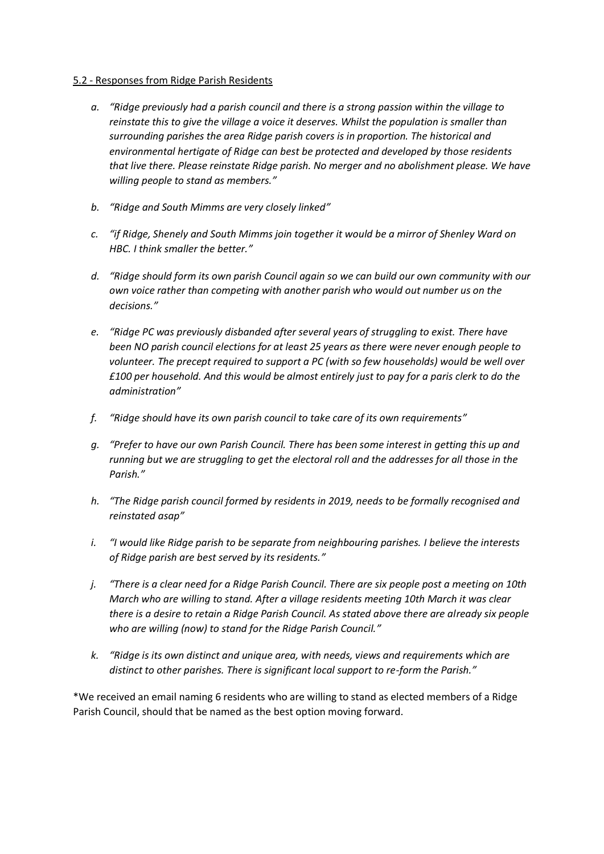#### 5.2 - Responses from Ridge Parish Residents

- *a. "Ridge previously had a parish council and there is a strong passion within the village to reinstate this to give the village a voice it deserves. Whilst the population is smaller than surrounding parishes the area Ridge parish covers is in proportion. The historical and environmental hertigate of Ridge can best be protected and developed by those residents that live there. Please reinstate Ridge parish. No merger and no abolishment please. We have willing people to stand as members."*
- *b. "Ridge and South Mimms are very closely linked"*
- *c. "if Ridge, Shenely and South Mimms join together it would be a mirror of Shenley Ward on HBC. I think smaller the better."*
- *d. "Ridge should form its own parish Council again so we can build our own community with our own voice rather than competing with another parish who would out number us on the decisions."*
- *e. "Ridge PC was previously disbanded after several years of struggling to exist. There have been NO parish council elections for at least 25 years as there were never enough people to volunteer. The precept required to support a PC (with so few households) would be well over £100 per household. And this would be almost entirely just to pay for a paris clerk to do the administration"*
- *f. "Ridge should have its own parish council to take care of its own requirements"*
- *g. "Prefer to have our own Parish Council. There has been some interest in getting this up and running but we are struggling to get the electoral roll and the addresses for all those in the Parish."*
- *h. "The Ridge parish council formed by residents in 2019, needs to be formally recognised and reinstated asap"*
- *i. "I would like Ridge parish to be separate from neighbouring parishes. I believe the interests of Ridge parish are best served by its residents."*
- *j. "There is a clear need for a Ridge Parish Council. There are six people post a meeting on 10th March who are willing to stand. After a village residents meeting 10th March it was clear there is a desire to retain a Ridge Parish Council. As stated above there are already six people who are willing (now) to stand for the Ridge Parish Council."*
- *k. "Ridge is its own distinct and unique area, with needs, views and requirements which are distinct to other parishes. There is significant local support to re-form the Parish."*

\*We received an email naming 6 residents who are willing to stand as elected members of a Ridge Parish Council, should that be named as the best option moving forward.